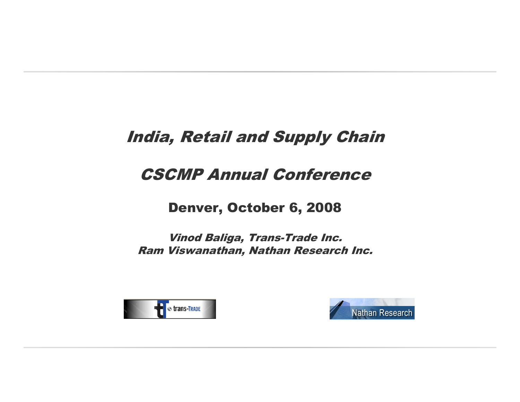### India, Retail and Supply Chain

### CSCMP Annual Conference

### Denver, October 6, 2008

Vinod Baliga, Trans-Trade Inc.Ram Viswanathan, Nathan Research Inc.



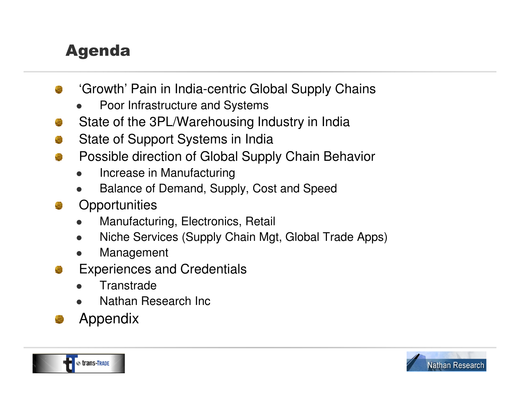## Agenda

- 'Growth' Pain in India-centric Global Supply Chains
	- $\bullet$ Poor Infrastructure and Systems
- State of the 3PL/Warehousing Industry in India
- State of Support Systems in India
- Possible direction of Global Supply Chain Behavior
	- $\bullet$ Increase in Manufacturing
	- Balance of Demand, Supply, Cost and Speed  $\bullet$
- **Opportunities** 
	- Manufacturing, Electronics, Retail  $\bullet$
	- $\bullet$ Niche Services (Supply Chain Mgt, Global Trade Apps)
	- $\bullet$ Management
- Experiences and Credentials
	- $\bullet$ **Transtrade**
	- Nathan Research Inc  $\bullet$
- Appendix



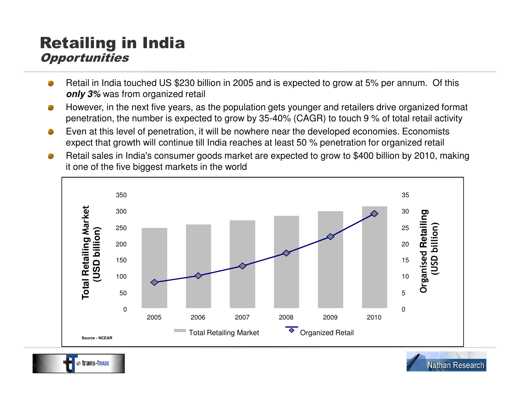### Retailing in India **Opportunities**

- Retail in India touched US \$230 billion in 2005 and is expected to grow at 5% per annum. Of this **only 3%** was from organized retail
- However, in the next five years, as the population gets younger and retailers drive organized format 癵 penetration, the number is expected to grow by 35-40% (CAGR) to touch 9 % of total retail activity
- Even at this level of penetration, it will be nowhere near the developed economies. Economists e) expect that growth will continue till India reaches at least 50 % penetration for organized retail
- Retail sales in India's consumer goods market are expected to grow to \$400 billion by 2010, making æ. it one of the five biggest markets in the world



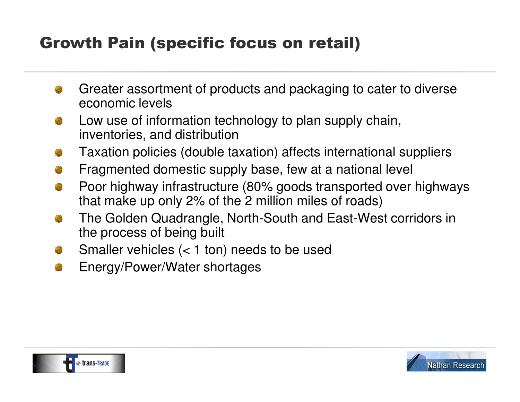## Growth Pain (specific focus on retail)

- Greater assortment of products and packaging to cater to diverse economic levels
- Low use of information technology to plan supply chain, inventories, and distribution
- Taxation policies (double taxation) affects international suppliers
- Fragmented domestic supply base, few at a national levelØ
- Poor highway infrastructure (80% goods transported over highways 2 that make up only 2% of the 2 million miles of roads)
- The Golden Quadrangle, North-South and East-West corridors in the process of being built
- Smaller vehicles  $(< 1$  ton) needs to be used
- Energy/Power/Water shortages Ø



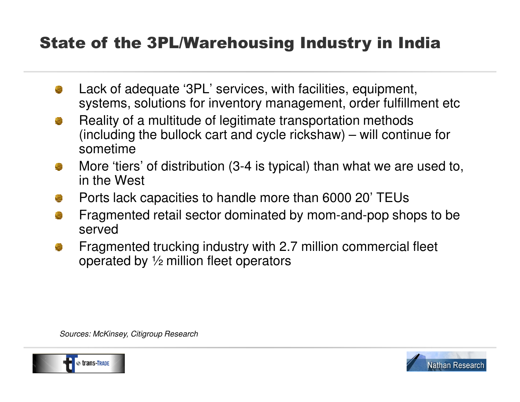### State of the 3PL/Warehousing Industry in India

- Lack of adequate '3PL' services, with facilities, equipment, systems, solutions for inventory management, order fulfillment etc
- Reality of a multitude of legitimate transportation methods (including the bullock cart and cycle rickshaw) – will continue for sometime
- More 'tiers' of distribution (3-4 is typical) than what we are used to, in the West
- Ports lack capacities to handle more than 6000 20' TEUs
- Fragmented retail sector dominated by mom-and-pop shops to be served
- Fragmented trucking industry with 2.7 million commercial fleet operated by ½ million fleet operators

Sources: McKinsey, Citigroup Research



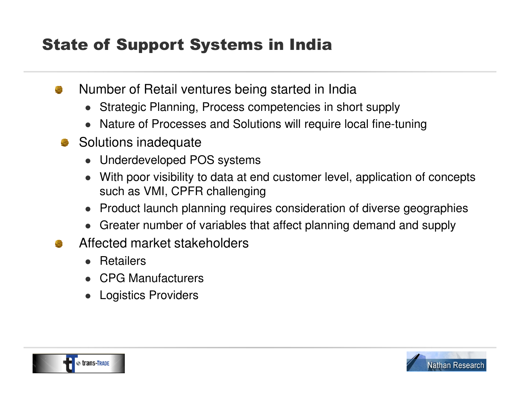## State of Support Systems in India

- Number of Retail ventures being started in Indiaa
	- 0 Strategic Planning, Process competencies in short supply
	- 0 Nature of Processes and Solutions will require local fine-tuning
	- Solutions inadequate
		- 0 Underdeveloped POS systems
		- 0 With poor visibility to data at end customer level, application of concepts such as VMI, CPFR challenging
		- $\bullet$ Product launch planning requires consideration of diverse geographies
		- 0 Greater number of variables that affect planning demand and supply
- Affected market stakeholders
	- 0 Retailers
	- 0 CPG Manufacturers
	- 0 Logistics Providers



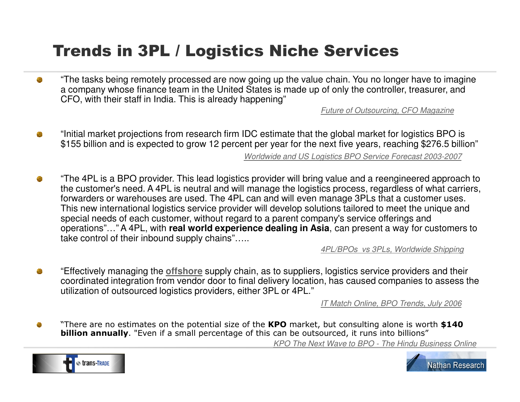### Trends in 3PL / Logistics Niche Services

"The tasks being remotely processed are now going up the value chain. You no longer have to imagine ø a company whose finance team in the United States is made up of only the controller, treasurer, and CFO, with their staff in India. This is already happening"

Future of Outsourcing, CFO Magazine

- "Initial market projections from research firm IDC estimate that the global market for logistics BPO is a \$155 billion and is expected to grow 12 percent per year for the next five years, reaching \$276.5 billion"Worldwide and US Logistics BPO Service Forecast 2003-2007
- "The 4PL is a BPO provider. This lead logistics provider will bring value and a reengineered approach to Ø the customer's need. A 4PL is neutral and will manage the logistics process, regardless of what carriers, forwarders or warehouses are used. The 4PL can and will even manage 3PLs that a customer uses. This new international logistics service provider will develop solutions tailored to meet the unique and special needs of each customer, without regard to a parent company's service offerings and operations"…" A 4PL, with **real world experience dealing in Asia**, can present a way for customers to take control of their inbound supply chains"…..

4PL/BPOs vs 3PLs, Worldwide Shipping

"Effectively managing the **offshore** supply chain, as to suppliers, logistics service providers and their ÷ coordinated integration from vendor door to final delivery location, has caused companies to assess the utilization of outsourced logistics providers, either 3PL or 4PL."

IT Match Online, BPO Trends, July 2006

 $\bullet$ "There are no estimates on the potential size of the KPO market, but consulting alone is worth \$140<br>hillion annually "Even if a small percentage of this can be outsourced it runs into billions" **billion annually**. "Even if a small percentage of this can be outsourced, it runs into billions" KPO The Next Wave to BPO - The Hindu Business Online



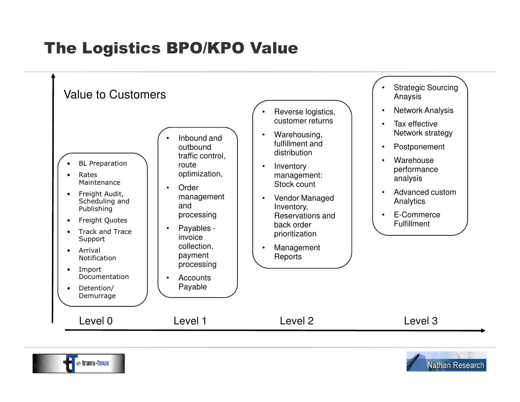## The Logistics BPO/KPO Value





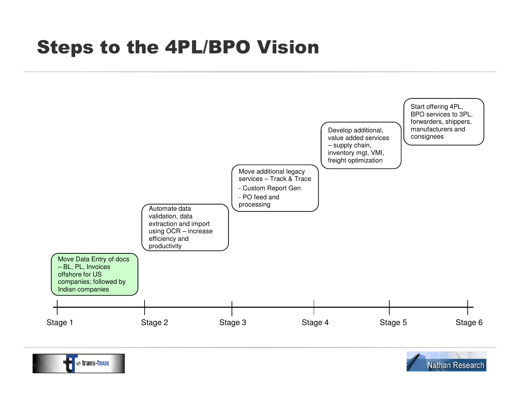# Steps to the 4PL/BPO Vision





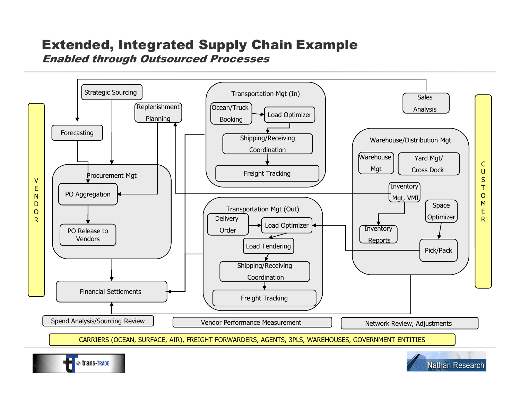### Extended, Integrated Supply Chain Example Enabled through Outsourced Processes





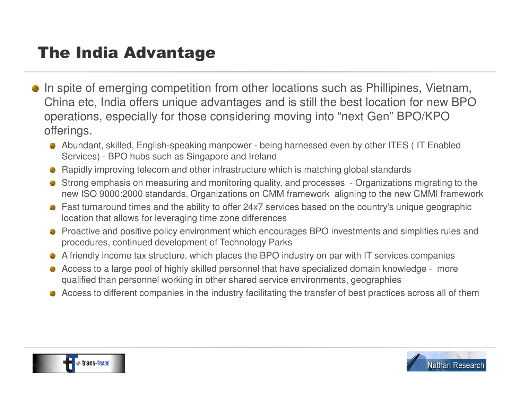## The India Advantage

- In spite of emerging competition from other locations such as Phillipines, Vietnam, China etc, India offers unique advantages and is still the best location for new BPO operations, especially for those considering moving into "next Gen" BPO/KPO offerings.
	- Abundant, skilled, English-speaking manpower being harnessed even by other ITES ( IT Enabled Services) - BPO hubs such as Singapore and Ireland
	- Rapidly improving telecom and other infrastructure which is matching global standards
	- Strong emphasis on measuring and monitoring quality, and processes Organizations migrating to the new ISO 9000:2000 standards, Organizations on CMM framework aligning to the new CMMI framework
	- Fast turnaround times and the ability to offer 24x7 services based on the country's unique geographic location that allows for leveraging time zone differences
	- **•** Proactive and positive policy environment which encourages BPO investments and simplifies rules and procedures, continued development of Technology Parks
	- A friendly income tax structure, which places the BPO industry on par with IT services companies
	- Access to a large pool of highly skilled personnel that have specialized domain knowledge more qualified than personnel working in other shared service environments, geographies
	- Access to different companies in the industry facilitating the transfer of best practices across all of them



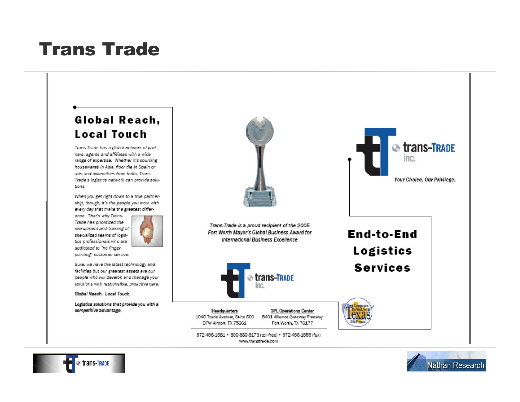# Trans Trade

#### W;elkijk;elkfjwer;rlkkj/kjwejkijk;elkijwejkijk;elkijwejkijk;elkijwejkijk;elkijwejkijk;elkijwejkijk;elkijwejkij<br>Markovina (1992) Global Reach, **Local Touch**

Trans-Trade has a global network of partners, agents and affiliates with a wide range of expertise. Whether it's sourcing housewares in Asia, floor tile in Spain or arts and collectibles from India. Trans-Trade's logistics network can provide solutions.

When you get right down to a true partnership, though, it's the people you work with every day that make the greatest differ-

ence. That's why Trans-Trade has prioritized the recruitment and training of specialized teams of logistics professionals who are dedicated to "no fingerpointing" customer service.



Sure, we have the latest technology and facilities but our greatest assets are our people who will develop and manage your solutions with responsible, proactive care.

Global Reach, Local Touch.

Logistics solutions that provide you with a competitive advantage.







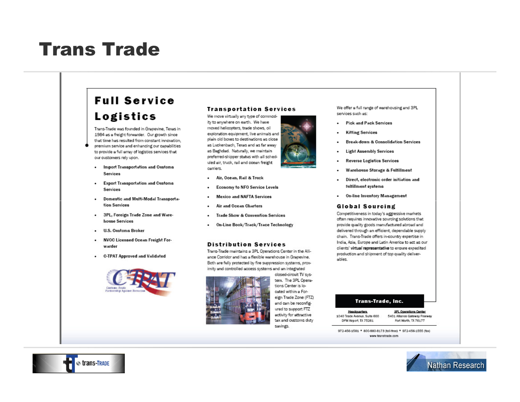# Trans Trade

### **Full Service Logistics**

Trans-Trade was founded in Grapevine. Texas in 1984 as a freight forwarder. Our growth since that time has resulted from constant innovation. premium service and enhancing our capabilities to provide a full array of logistics services that our customers rely upon.

- Import Transportation and Customs  $\bullet$ **Services**
- **Export Transportation and Customs**  $\bullet$ **Services**
- Domestic and Multi-Modal Transportation Services
- 3PL, Foreign Trade Zone and Ware- $\cdot$ house Services
- **U.S. Customs Broker**
- NVOC Licensed Ocean Freight Forwarder
- **C-TPAT Approved and Validated** ٠



#### **Transportation Services**

We move virtually any type of commodity to anywhere on earth. We have moved helicopters, trade shows, oil exploration equipment, live animals and plain old boxes to destinations as close as Luckenbach, Texas and as far away as Baghdad. Naturally, we maintain preferred-shipper status with all scheduled air, truck, rail and ocean freight carriers.

- Air, Ocean, Rail & Truck
- Economy to NFO Service Levels
- **Mexico and NAFTA Services**
- **Air and Ocean Charters**
- **Trade Show & Convention Services**
- On-Line Book/Track/Trace Technology

#### **Distribution Services**

Trans-Trade maintains a 3PL Operations Center in the Alliance Corridor and has a flexible warehouse in Grapevine. Both are fully protected by fire suppression systems, proximity and controlled access systems and an integrated



closed-circuit TV system. The 3PL Operations Center is located within a Foreign Trade Zone (FTZ) and can be reconfigured to support FTZ activity for attractive tax and customs duty savings.

We offer a full range of warehousing and 3PL services such as:

- **Pick and Pack Services**  $\ddot{\phantom{0}}$
- **Kitting Services**
- **Break-down & Consolidation Services**
- ٠ **Light Assembly Services**
- **Reverse Logistics Services**
- Warehouse Storage & Fulfillment  $\ddot{\phantom{0}}$
- Direct, electronic order initiation and  $\ddot{\phantom{0}}$ fulfillment systems
- . On-line Inventory Management

#### **Global Sourcing**

Competitiveness in today's aggressive markets often requires innovative sourcing solutions that provide quality goods manufactured abroad and delivered through an efficient, dependable supply chain. Trans-Trade offers in-country expertise in India, Asia, Europe and Latin America to act as our clients' virtual representative to ensure expedited production and shipment of top quality deliverables.

#### **Trans-Trade, Inc.**

Headquarters 1040 Trade Avenue, Suite 600 DFW Airport, TX 75261

**SPL Operations Center** 5401 Alliance Gateway Freeway Fort Worth, TX 76177

972-456-1581 \* 800-880-8173 (toll-free) \* 972-456-1555 (fax) www.transtrade.com



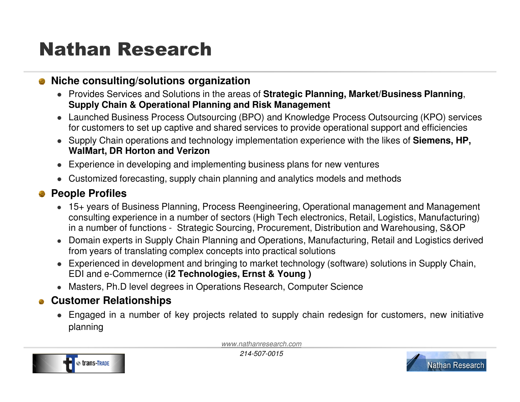# Nathan Research

### **Niche consulting/solutions organization**

- Provides Services and Solutions in the areas of **Strategic Planning, Market/Business Planning**, **Supply Chain & Operational Planning and Risk Management**
- Launched Business Process Outsourcing (BPO) and Knowledge Process Outsourcing (KPO) services for customers to set up captive and shared services to provide operational support and efficiencies
- Supply Chain operations and technology implementation experience with the likes of **Siemens, HP, WalMart, DR Horton and Verizon**
- Experience in developing and implementing business plans for new ventures
- Customized forecasting, supply chain planning and analytics models and methods

### **People Profiles**

- 15+ years of Business Planning, Process Reengineering, Operational management and Management consulting experience in a number of sectors (High Tech electronics, Retail, Logistics, Manufacturing)in a number of functions - Strategic Sourcing, Procurement, Distribution and Warehousing, S&OP
- Domain experts in Supply Chain Planning and Operations, Manufacturing, Retail and Logistics derived from years of translating complex concepts into practical solutions
- Experienced in development and bringing to market technology (software) solutions in Supply Chain, EDI and e-Commernce (**i2 Technologies, Ernst & Young )**
- Masters, Ph.D level degrees in Operations Research, Computer Science

### **Customer Relationships**

 Engaged in <sup>a</sup> number of key projects related to supply chain redesign for customers, new initiativeplanning

www.nathanresearch.com



214-507-0015